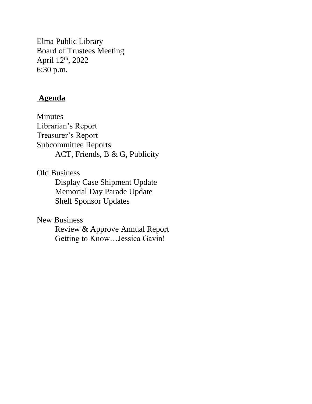Elma Public Library Board of Trustees Meeting April 12th, 2022 6:30 p.m.

# **Agenda**

Minutes Librarian's Report Treasurer's Report Subcommittee Reports ACT, Friends, B & G, Publicity

Old Business

Display Case Shipment Update Memorial Day Parade Update Shelf Sponsor Updates

New Business Review & Approve Annual Report

Getting to Know…Jessica Gavin!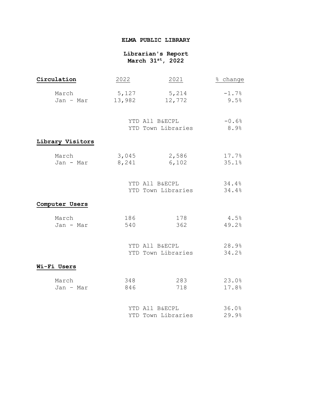## **ELMA PUBLIC LIBRARY**

## **Librarian's Report March 31st, 2022**

| Circulation        | 2022                                 | 2021                                 | % change        |  |
|--------------------|--------------------------------------|--------------------------------------|-----------------|--|
| March<br>Jan - Mar | 5,127<br>13,982                      | 5,214<br>12,772                      | $-1.7%$<br>9.5% |  |
|                    | YTD All B&ECPL<br>YTD Town Libraries |                                      | $-0.6%$<br>8.9% |  |
| Library Visitors   |                                      |                                      |                 |  |
| March<br>Jan - Mar | 3,045<br>8,241                       | 2,586<br>6,102                       | 17.7%<br>35.1%  |  |
|                    |                                      | YTD All B&ECPL<br>YTD Town Libraries | 34.4%<br>34.4%  |  |
| Computer Users     |                                      |                                      |                 |  |
| March<br>Jan - Mar | 186<br>540                           | 178<br>362                           | 4.5%<br>49.2%   |  |
|                    |                                      | YTD All B&ECPL<br>YTD Town Libraries | 28.9%<br>34.2%  |  |
| Wi-Fi Users        |                                      |                                      |                 |  |
| March<br>Jan - Mar | 348<br>846                           | 283<br>718                           | 23.0%<br>17.8%  |  |
|                    |                                      | YTD All B&ECPL<br>YTD Town Libraries | 36.0%<br>29.9%  |  |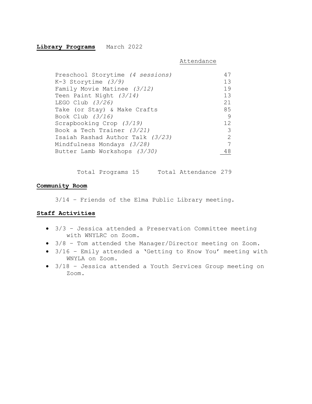### **Library Programs** March 2022

#### Attendance

| Preschool Storytime (4 sessions) | 47  |
|----------------------------------|-----|
| $K-3$ Storytime $(3/9)$          | 13  |
| Family Movie Matinee (3/12)      | 19  |
| Teen Paint Night (3/14)          | 13  |
| LEGO Club $(3/26)$               | 21  |
| Take (or Stay) & Make Crafts     | 85  |
| Book Club $(3/16)$               | - 9 |
| Scrapbooking Crop (3/19)         | 12  |
| Book a Tech Trainer $(3/21)$     | 3   |
| Isaiah Rashad Author Talk (3/23) | 2   |
| Mindfulness Mondays (3/28)       | 7   |
| Butter Lamb Workshops (3/30)     | 48  |
|                                  |     |

Total Programs 15 Total Attendance 279

#### **Community Room**

3/14 – Friends of the Elma Public Library meeting.

## **Staff Activities**

- 3/3 Jessica attended a Preservation Committee meeting with WNYLRC on Zoom.
- 3/8 Tom attended the Manager/Director meeting on Zoom.
- 3/16 Emily attended a 'Getting to Know You' meeting with WNYLA on Zoom.
- 3/18 Jessica attended a Youth Services Group meeting on Zoom.